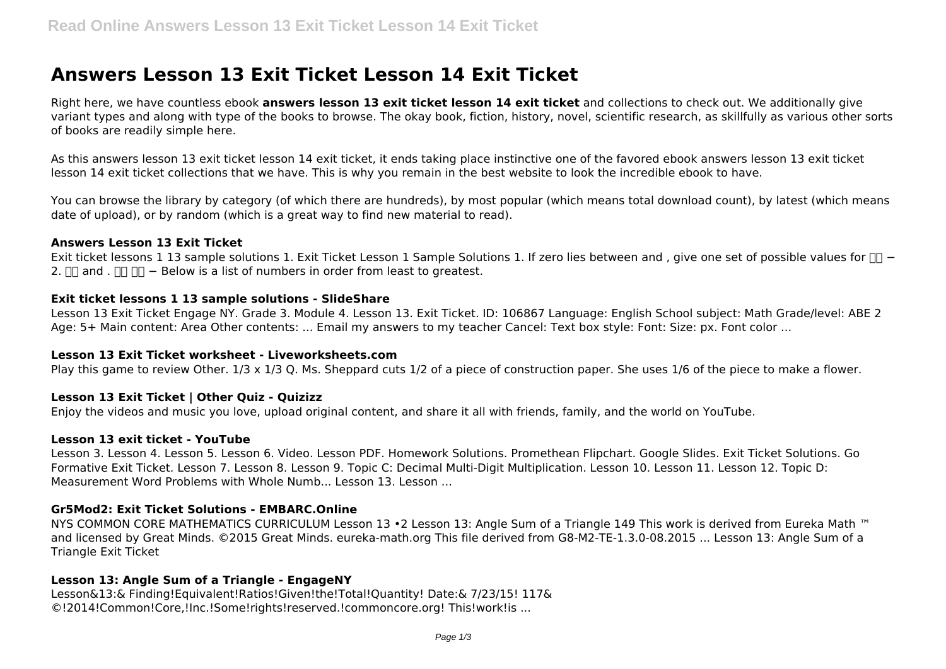# **Answers Lesson 13 Exit Ticket Lesson 14 Exit Ticket**

Right here, we have countless ebook **answers lesson 13 exit ticket lesson 14 exit ticket** and collections to check out. We additionally give variant types and along with type of the books to browse. The okay book, fiction, history, novel, scientific research, as skillfully as various other sorts of books are readily simple here.

As this answers lesson 13 exit ticket lesson 14 exit ticket, it ends taking place instinctive one of the favored ebook answers lesson 13 exit ticket lesson 14 exit ticket collections that we have. This is why you remain in the best website to look the incredible ebook to have.

You can browse the library by category (of which there are hundreds), by most popular (which means total download count), by latest (which means date of upload), or by random (which is a great way to find new material to read).

#### **Answers Lesson 13 Exit Ticket**

Exit ticket lessons 1 13 sample solutions 1. Exit Ticket Lesson 1 Sample Solutions 1. If zero lies between and, give one set of possible values for  $\Box \Box$  -2.  $\Box$  and .  $\Box$   $\Box$  − Below is a list of numbers in order from least to greatest.

# **Exit ticket lessons 1 13 sample solutions - SlideShare**

Lesson 13 Exit Ticket Engage NY. Grade 3. Module 4. Lesson 13. Exit Ticket. ID: 106867 Language: English School subject: Math Grade/level: ABE 2 Age: 5+ Main content: Area Other contents: ... Email my answers to my teacher Cancel: Text box style: Font: Size: px. Font color ...

# **Lesson 13 Exit Ticket worksheet - Liveworksheets.com**

Play this game to review Other. 1/3 x 1/3 Q. Ms. Sheppard cuts 1/2 of a piece of construction paper. She uses 1/6 of the piece to make a flower.

# **Lesson 13 Exit Ticket | Other Quiz - Quizizz**

Enjoy the videos and music you love, upload original content, and share it all with friends, family, and the world on YouTube.

#### **Lesson 13 exit ticket - YouTube**

Lesson 3. Lesson 4. Lesson 5. Lesson 6. Video. Lesson PDF. Homework Solutions. Promethean Flipchart. Google Slides. Exit Ticket Solutions. Go Formative Exit Ticket. Lesson 7. Lesson 8. Lesson 9. Topic C: Decimal Multi-Digit Multiplication. Lesson 10. Lesson 11. Lesson 12. Topic D: Measurement Word Problems with Whole Numb... Lesson 13. Lesson ...

# **Gr5Mod2: Exit Ticket Solutions - EMBARC.Online**

NYS COMMON CORE MATHEMATICS CURRICULUM Lesson 13 •2 Lesson 13: Angle Sum of a Triangle 149 This work is derived from Eureka Math ™ and licensed by Great Minds. ©2015 Great Minds. eureka-math.org This file derived from G8-M2-TE-1.3.0-08.2015 ... Lesson 13: Angle Sum of a Triangle Exit Ticket

# **Lesson 13: Angle Sum of a Triangle - EngageNY**

Lesson&13:& Finding!Equivalent!Ratios!Given!the!Total!Quantity! Date:& 7/23/15! 117& ©!2014!Common!Core,!Inc.!Some!rights!reserved.!commoncore.org! This!work!is ...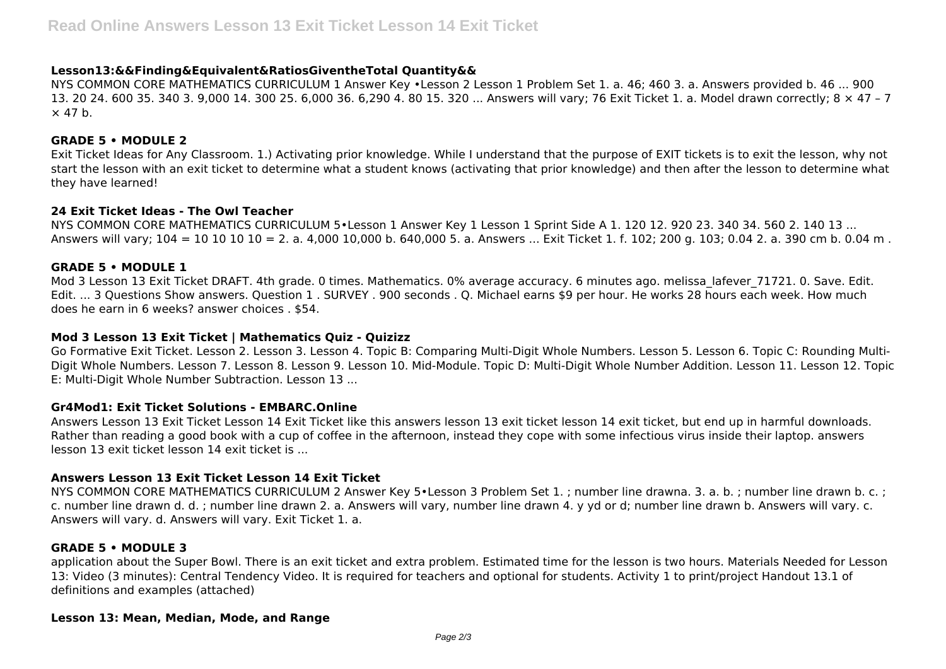# **Lesson13:&&Finding&Equivalent&RatiosGiventheTotal Quantity&&**

NYS COMMON CORE MATHEMATICS CURRICULUM 1 Answer Key •Lesson 2 Lesson 1 Problem Set 1. a. 46; 460 3. a. Answers provided b. 46 ... 900 13. 20 24. 600 35. 340 3. 9,000 14. 300 25. 6,000 36. 6,290 4. 80 15. 320 ... Answers will vary; 76 Exit Ticket 1. a. Model drawn correctly; 8 × 47 – 7  $\times$  47 b.

### **GRADE 5 • MODULE 2**

Exit Ticket Ideas for Any Classroom. 1.) Activating prior knowledge. While I understand that the purpose of EXIT tickets is to exit the lesson, why not start the lesson with an exit ticket to determine what a student knows (activating that prior knowledge) and then after the lesson to determine what they have learned!

#### **24 Exit Ticket Ideas - The Owl Teacher**

NYS COMMON CORE MATHEMATICS CURRICULUM 5•Lesson 1 Answer Key 1 Lesson 1 Sprint Side A 1. 120 12. 920 23. 340 34. 560 2. 140 13 ... Answers will vary; 104 = 10 10 10 10 = 2. a. 4,000 10,000 b. 640,000 5. a. Answers ... Exit Ticket 1. f. 102; 200 g. 103; 0.04 2. a. 390 cm b. 0.04 m .

#### **GRADE 5 • MODULE 1**

Mod 3 Lesson 13 Exit Ticket DRAFT. 4th grade. 0 times. Mathematics. 0% average accuracy. 6 minutes ago. melissa lafever 71721. 0. Save. Edit. Edit. ... 3 Questions Show answers. Question 1 . SURVEY . 900 seconds . Q. Michael earns \$9 per hour. He works 28 hours each week. How much does he earn in 6 weeks? answer choices . \$54.

#### **Mod 3 Lesson 13 Exit Ticket | Mathematics Quiz - Quizizz**

Go Formative Exit Ticket. Lesson 2. Lesson 3. Lesson 4. Topic B: Comparing Multi-Digit Whole Numbers. Lesson 5. Lesson 6. Topic C: Rounding Multi-Digit Whole Numbers. Lesson 7. Lesson 8. Lesson 9. Lesson 10. Mid-Module. Topic D: Multi-Digit Whole Number Addition. Lesson 11. Lesson 12. Topic E: Multi-Digit Whole Number Subtraction. Lesson 13 ...

# **Gr4Mod1: Exit Ticket Solutions - EMBARC.Online**

Answers Lesson 13 Exit Ticket Lesson 14 Exit Ticket like this answers lesson 13 exit ticket lesson 14 exit ticket, but end up in harmful downloads. Rather than reading a good book with a cup of coffee in the afternoon, instead they cope with some infectious virus inside their laptop. answers lesson 13 exit ticket lesson 14 exit ticket is ...

# **Answers Lesson 13 Exit Ticket Lesson 14 Exit Ticket**

NYS COMMON CORE MATHEMATICS CURRICULUM 2 Answer Key 5•Lesson 3 Problem Set 1. ; number line drawna. 3. a. b. ; number line drawn b. c. ; c. number line drawn d. d. ; number line drawn 2. a. Answers will vary, number line drawn 4. y yd or d; number line drawn b. Answers will vary. c. Answers will vary. d. Answers will vary. Exit Ticket 1. a.

#### **GRADE 5 • MODULE 3**

application about the Super Bowl. There is an exit ticket and extra problem. Estimated time for the lesson is two hours. Materials Needed for Lesson 13: Video (3 minutes): Central Tendency Video. It is required for teachers and optional for students. Activity 1 to print/project Handout 13.1 of definitions and examples (attached)

#### **Lesson 13: Mean, Median, Mode, and Range**